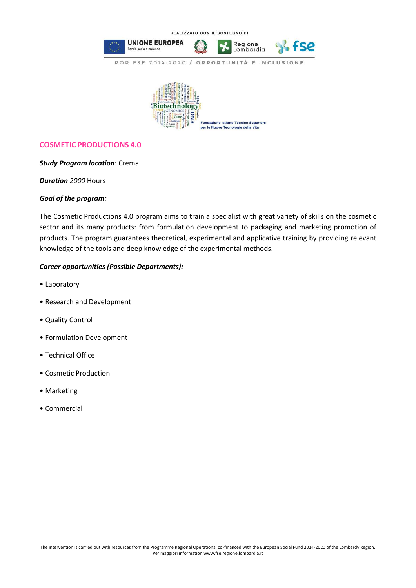

## **COSMETIC PRODUCTIONS 4.0**

## *Study Program location*: Crema

*Duration 2000* Hours

## *Goal of the program:*

The Cosmetic Productions 4.0 program aims to train a specialist with great variety of skills on the cosmetic sector and its many products: from formulation development to packaging and marketing promotion of products. The program guarantees theoretical, experimental and applicative training by providing relevant knowledge of the tools and deep knowledge of the experimental methods.

## *Career opportunities (Possible Departments):*

- Laboratory
- Research and Development
- Quality Control
- Formulation Development
- Technical Office
- Cosmetic Production
- Marketing
- Commercial